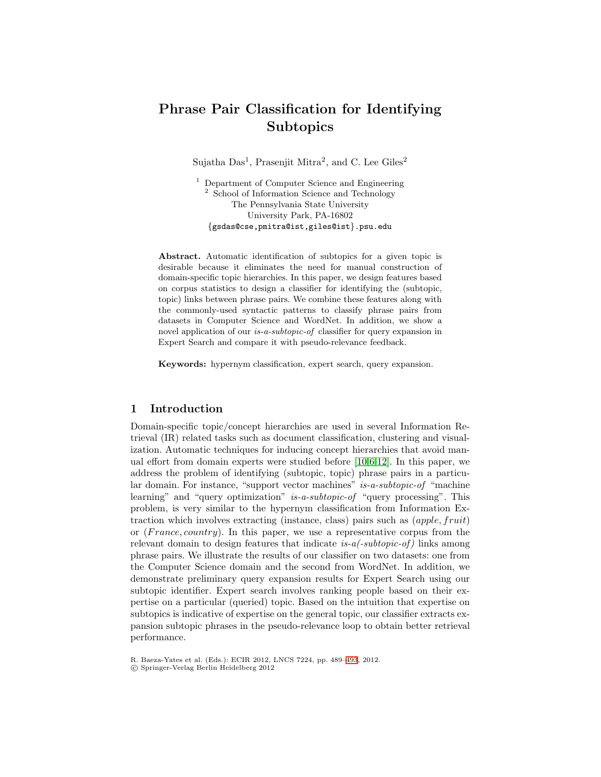# Phrase Pair Classification for Identifying **Subtopics**

Sujatha  $Das<sup>1</sup>$ , Prasenjit Mitra<sup>2</sup>, and C. Lee Giles<sup>2</sup>

<sup>1</sup> Department of Computer Science and Engineering <sup>2</sup> School of Information Science and Technology The Pennsylvania State University University Park, PA-16802 {gsdas@cse,pmitra@ist,giles@ist}.psu.edu

Abstract. Automatic identification of subtopics for a given topic is desirable because it eliminates the need for manual construction of domain-specific topic hierarchies. In this paper, we design features based on corpus statistics to design a classifier for identifying the (subtopic, topic) links between phrase pairs. We combine these features along with the commonly-used syntactic patterns to classify phrase pairs from datasets in Computer Science and WordNet. In addition, we show a novel application of our *is-a-subtopic-of* classifier for query expansion in Expert Search and compare it with pseudo-relevance feedback.

Keywords: hypernym classification, expert search, query expansion.

## 1 Introduction

Domain-specific topic/concept hierarchies are used in several Information Retrieval (IR) related tasks such as document classification, clustering and visualization. Automatic techniques for inducing concept hierarchies that avoid manual effort from domain experts were studied before  $\boxed{10612}$ . In this paper, we address the problem of identifying (subtopic, topic) phrase pairs in a particular domain. For instance, "support vector machines" is-a-subtopic-of "machine learning" and "query optimization" is-a-subtopic-of "query processing". This problem, is very similar to the hypernym classification from Information Extraction which involves extracting (instance, class) pairs such as (apple, fruit) or  $(France, country)$ . In this paper, we use a representative corpus from the relevant domain to design features that indicate is- $a$  $\ell$ -subtopic-of) links among phrase pairs. We illustrate the results of our classifier on two datasets: one from the Computer Science domain and the second from WordNet. In addition, we demonstrate preliminary query expansion results for Expert Search using our subtopic identifier. Expert search involves ranking people based on their expertise on a particular (queried) topic. Based on the intuition that expertise on subtopics is indicative of expertise on the general topic, our classifier extracts expansion subtopic phrases in the pseudo-relevance loop to obtain better retrieval performance.

R. Baeza-Yates et al. (Eds.): ECIR 2012, LNCS 7224, pp. 489–493, 2012.

!c Springer-Verlag Berlin Heidelberg 2012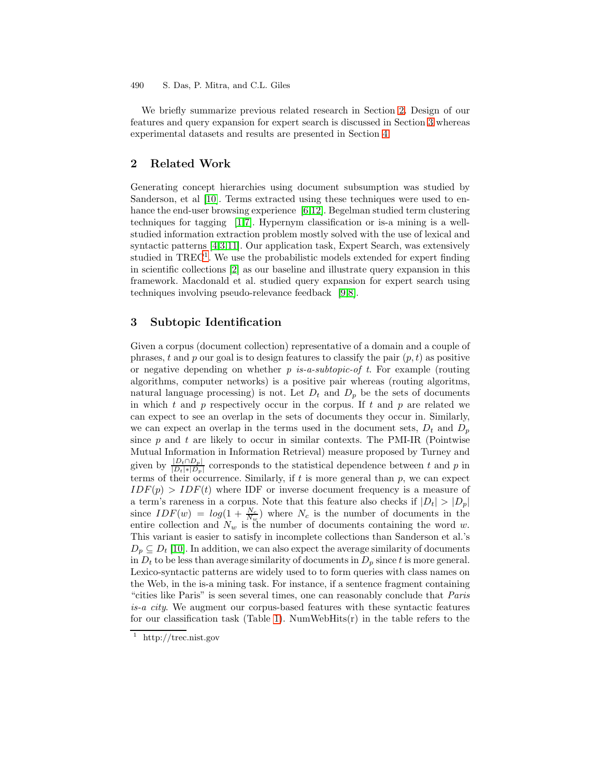490 S. Das, P. Mitra, and C.L. Giles

We briefly summarize previous related research in Section 2. Design of our features and query expansion for expert search is discussed in Section 3 whereas experimental datasets and results are presented in Section 4.

### 2 Related Work

Generating concept hierarchies using document subsumption was studied by Sanderson, et al  $\overline{10}$ . Terms extracted using these techniques were used to enhance the end-user browsing experience  $612$ . Begelman studied term clustering techniques for tagging  $\boxed{17}$ . Hypernym classification or is-a mining is a wellstudied information extraction problem mostly solved with the use of lexical and syntactic patterns  $[4,3]$ . Our application task, Expert Search, was extensively studied in TREC<sup>1</sup>. We use the probabilistic models extended for expert finding in scientific collections [2] as our baseline and illustrate query expansion in this framework. Macdonald et al. studied query expansion for expert search using techniques involving pseudo-relevance feedback [98].

## 3 Subtopic Identification

Given a corpus (document collection) representative of a domain and a couple of phrases, t and p our goal is to design features to classify the pair  $(p, t)$  as positive or negative depending on whether p is-a-subtopic-of t. For example (routing algorithms, computer networks) is a positive pair whereas (routing algoritms, natural language processing) is not. Let  $D_t$  and  $D_p$  be the sets of documents in which  $t$  and  $p$  respectively occur in the corpus. If  $t$  and  $p$  are related we can expect to see an overlap in the sets of documents they occur in. Similarly, we can expect an overlap in the terms used in the document sets,  $D_t$  and  $D_p$ since  $p$  and  $t$  are likely to occur in similar contexts. The PMI-IR (Pointwise Mutual Information in Information Retrieval) measure proposed by Turney and given by  $\frac{|D_t \cap D_p|}{|D_t| * |D_p|}$  corresponds to the statistical dependence between t and p in terms of their occurrence. Similarly, if  $t$  is more general than  $p$ , we can expect  $IDF(p) > IDF(t)$  where IDF or inverse document frequency is a measure of a term's rareness in a corpus. Note that this feature also checks if  $|D_t| > |D_p|$ since  $IDF(w) = log(1 + \frac{N_c}{N_w})$  where  $N_c$  is the number of documents in the entire collection and  $N_w$  is the number of documents containing the word w. This variant is easier to satisfy in incomplete collections than Sanderson et al.'s  $D_p \subseteq D_t$  [10]. In addition, we can also expect the average similarity of documents in  $D_t$  to be less than average similarity of documents in  $D_p$  since t is more general. Lexico-syntactic patterns are widely used to to form queries with class names on the Web, in the is-a mining task. For instance, if a sentence fragment containing "cities like Paris" is seen several times, one can reasonably conclude that Paris is-a city. We augment our corpus-based features with these syntactic features for our classification task (Table  $\boxed{1}$ ). NumWebHits(r) in the table refers to the

<sup>&</sup>lt;sup>1</sup> http://trec.nist.gov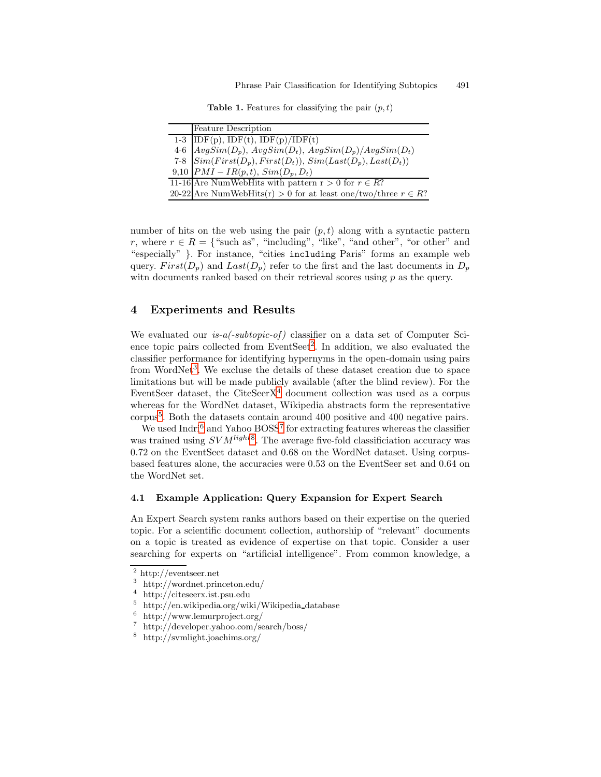**Table 1.** Features for classifying the pair  $(p, t)$ 

| <b>Feature Description</b>                                                                                                                                                                                      |
|-----------------------------------------------------------------------------------------------------------------------------------------------------------------------------------------------------------------|
|                                                                                                                                                                                                                 |
|                                                                                                                                                                                                                 |
|                                                                                                                                                                                                                 |
| 1-3 IDF(p), IDF(t), IDF(p)/IDF(t)<br>4-6 $AvgSim(D_p)$ , $AvgSim(D_t)$ , $AvgSim(D_p)/AvgSim(D_t)$<br>7-8 $Sim(First(D_p), First(D_t))$ , $Sim(Last(D_p), Last(D_t))$<br>9,10 $PMI - IR(p,t)$ , $Sim(D_p, D_t)$ |
| 11-16 Are NumWebHits with pattern $r > 0$ for $r \in R$ ?                                                                                                                                                       |
| 20-22 Are NumWebHits(r) > 0 for at least one/two/three $r \in R$ ?                                                                                                                                              |

number of hits on the web using the pair  $(p, t)$  along with a syntactic pattern r, where  $r \in R = \{$  "such as", "including", "like", "and other", "or other" and "especially" }. For instance, "cities including Paris" forms an example web query.  $First(D_n)$  and  $Last(D_n)$  refer to the first and the last documents in  $D_n$ with documents ranked based on their retrieval scores using  $p$  as the query.

### 4 Experiments and Results

We evaluated our  $is-a(-subtopic-of)$  classifier on a data set of Computer Science topic pairs collected from EventSeet<sup>2</sup>. In addition, we also evaluated the classifier performance for identifying hypernyms in the open-domain using pairs from WordNet<sup>3</sup>. We excluse the details of these dataset creation due to space limitations but will be made publicly available (after the blind review). For the EventSeer dataset, the CiteSeer $X^4$  document collection was used as a corpus whereas for the WordNet dataset, Wikipedia abstracts form the representative corpus<sup>5</sup>. Both the datasets contain around 400 positive and 400 negative pairs.

We used Indr $\frac{6}{16}$  and Yahoo BOSS<sup>7</sup> for extracting features whereas the classifier was trained using  $SVM^{light}$ . The average five-fold classificiation accuracy was 0.72 on the EventSeet dataset and 0.68 on the WordNet dataset. Using corpusbased features alone, the accuracies were 0.53 on the EventSeer set and 0.64 on the WordNet set.

#### 4.1 Example Application: Query Expansion for Expert Search

An Expert Search system ranks authors based on their expertise on the queried topic. For a scientific document collection, authorship of "relevant" documents on a topic is treated as evidence of expertise on that topic. Consider a user searching for experts on "artificial intelligence". From common knowledge, a

<sup>2</sup> http://eventseer.net

<sup>3</sup> http://wordnet.princeton.edu/

<sup>4</sup> http://citeseerx.ist.psu.edu

 $5$  http://en.wikipedia.org/wiki/Wikipedia database

<sup>6</sup> http://www.lemurproject.org/

<sup>7</sup> http://developer.yahoo.com/search/boss/

<sup>8</sup> http://svmlight.joachims.org/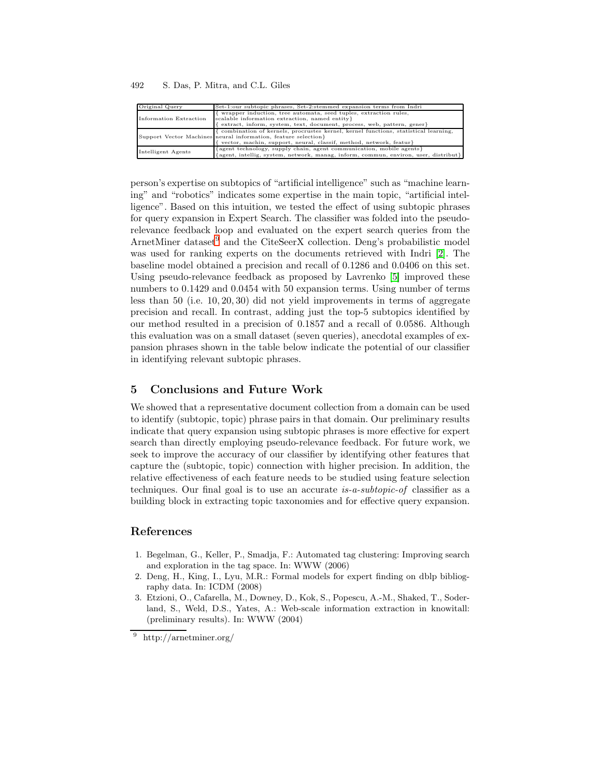492 S. Das, P. Mitra, and C.L. Giles

| Original Query         | Set-1:our subtopic phrases, Set-2:stemmed expansion terms from Indri                                                                                                                                                           |
|------------------------|--------------------------------------------------------------------------------------------------------------------------------------------------------------------------------------------------------------------------------|
| Information Extraction | wrapper induction, tree automata, seed tuples, extraction rules,<br>scalable information extraction, named entity}<br>[extract, inform, system, text, document, process, web, pattern, gener}                                  |
|                        | { combination of kernels, procrustes kernel, kernel functions, statistical learning,<br>Support Vector Machines neural information, feature selection}<br>{ vector, machin, support, neural, classif, method, network, featur} |
| Intelligent Agents     | {agent technology, supply chain, agent communication, mobile agents}<br>${[agent, intelligent, system, network, manage, inform, commun, environ, user, distribut]}$                                                            |

person's expertise on subtopics of "artificial intelligence" such as "machine learning" and "robotics" indicates some expertise in the main topic, "artificial intelligence". Based on this intuition, we tested the effect of using subtopic phrases for query expansion in Expert Search. The classifier was folded into the pseudorelevance feedback loop and evaluated on the expert search queries from the ArnetMiner dataset and the CiteSeerX collection. Deng's probabilistic model was used for ranking experts on the documents retrieved with Indri  $\boxed{2}$ . The baseline model obtained a precision and recall of 0.1286 and 0.0406 on this set. Using pseudo-relevance feedback as proposed by Lavrenko **[5]** improved these numbers to 0.1429 and 0.0454 with 50 expansion terms. Using number of terms less than 50 (i.e. 10, 20, 30) did not yield improvements in terms of aggregate precision and recall. In contrast, adding just the top-5 subtopics identified by our method resulted in a precision of 0.1857 and a recall of 0.0586. Although this evaluation was on a small dataset (seven queries), anecdotal examples of expansion phrases shown in the table below indicate the potential of our classifier in identifying relevant subtopic phrases.

#### 5 Conclusions and Future Work

We showed that a representative document collection from a domain can be used to identify (subtopic, topic) phrase pairs in that domain. Our preliminary results indicate that query expansion using subtopic phrases is more effective for expert search than directly employing pseudo-relevance feedback. For future work, we seek to improve the accuracy of our classifier by identifying other features that capture the (subtopic, topic) connection with higher precision. In addition, the relative effectiveness of each feature needs to be studied using feature selection techniques. Our final goal is to use an accurate is-a-subtopic-of classifier as a building block in extracting topic taxonomies and for effective query expansion.

## References

- 1. Begelman, G., Keller, P., Smadja, F.: Automated tag clustering: Improving search and exploration in the tag space. In: WWW (2006)
- 2. Deng, H., King, I., Lyu, M.R.: Formal models for expert finding on dblp bibliography data. In: ICDM (2008)
- 3. Etzioni, O., Cafarella, M., Downey, D., Kok, S., Popescu, A.-M., Shaked, T., Soderland, S., Weld, D.S., Yates, A.: Web-scale information extraction in knowitall: (preliminary results). In: WWW (2004)

<sup>9</sup> http://arnetminer.org/